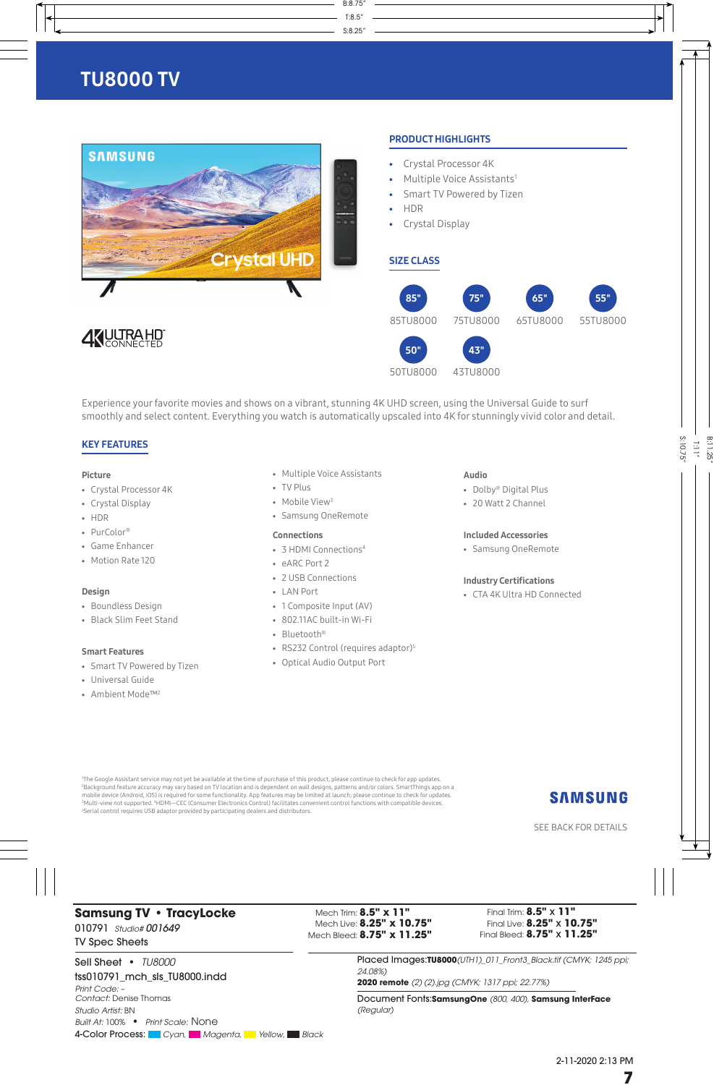

S:8.25"

T:8.5"

B:8.75"

Experience your favorite movies and shows on a vibrant, stunning 4K UHD screen, using the Universal Guide to surf smoothly and select content. Everything you watch is automatically upscaled into 4K for stunningly vivid color and detail.

#### KEY FEATURES

#### Picture

- Crystal Processor 4K
- Crystal Display
- HDR
- PurColor®
- Game Enhancer
- Motion Rate 120

#### Design

- Boundless Design
- Black Slim Feet Stand

#### Smart Features

- Smart TV Powered by Tizen
- Universal Guide
- Ambient Mode™2
- Multiple Voice Assistants
- TV Plus
- Mobile View<sup>3</sup>
- Samsung OneRemote

#### Connections

- 3 HDMI Connections4
- eARC Port 2
- 2 USB Connections
- LAN Port
- 1 Composite Input (AV)
- 802.11AC built-in Wi-Fi
- Bluetooth®
- RS232 Control (requires adaptor)<sup>5</sup>
- Optical Audio Output Port

- Audio • Dolby® Digital Plus
- 20 Watt 2 Channel
- 

#### Included Accessories

• Samsung OneRemote

#### Industry Certifications

• CTA 4K Ultra HD Connected

 The Google Assistant service may not yet be available at the time of purchase of this product, please continue to check for app updates. Background feature accuracy may vary based on TV location and is dependent on wall designs, patterns and/or colors. SmartThings app on a mobile device (Android, iOS) is required for some functionality. App features may be limited at launch; please continue to check for updates.<br>3Multi-view not supported. 4HDMI—CEC (Consumer Electronics Control) facilitates Serial control requires USB adaptor provided by participating dealers and distributors.

## **SAMSUNG**

S:10.75"

T:11"

B:11.25"

SEE BACK FOR DETAILS

### **Samsung TV • TracyLocke** 010791*Studio# 001649* TV Spec Sheets

Mech Trim: **8.5" x 11"** Mech Live: **8.25" x 10.75"** Mech Bleed: **8.75" x 11.25"**

Final Trim: **8.5"** x **11"** Final Live: **8.25"** x **10.75"** Final Bleed: **8.75"** x **11.25"**

Sell Sheet **•** *TU8000* tss010791\_mch\_sls\_TU8000.indd *Print Code:* – *Contact:* Denise Thomas *Studio Artist:* BN *Built At:* 100% **•** *Print Scale:* None 4-Color Process: Color Cyan, Magenta, Yellow, Black Placed Images:**TU8000***(UTH1)\_011\_Front3\_Black.tif (CMYK; 1245 ppi; 24.08%)*

**2020 remote** *(2) (2).jpg (CMYK; 1317 ppi; 22.77%)*

Document Fonts:**SamsungOne** *(800, 400),* **Samsung InterFace**  *(Regular)*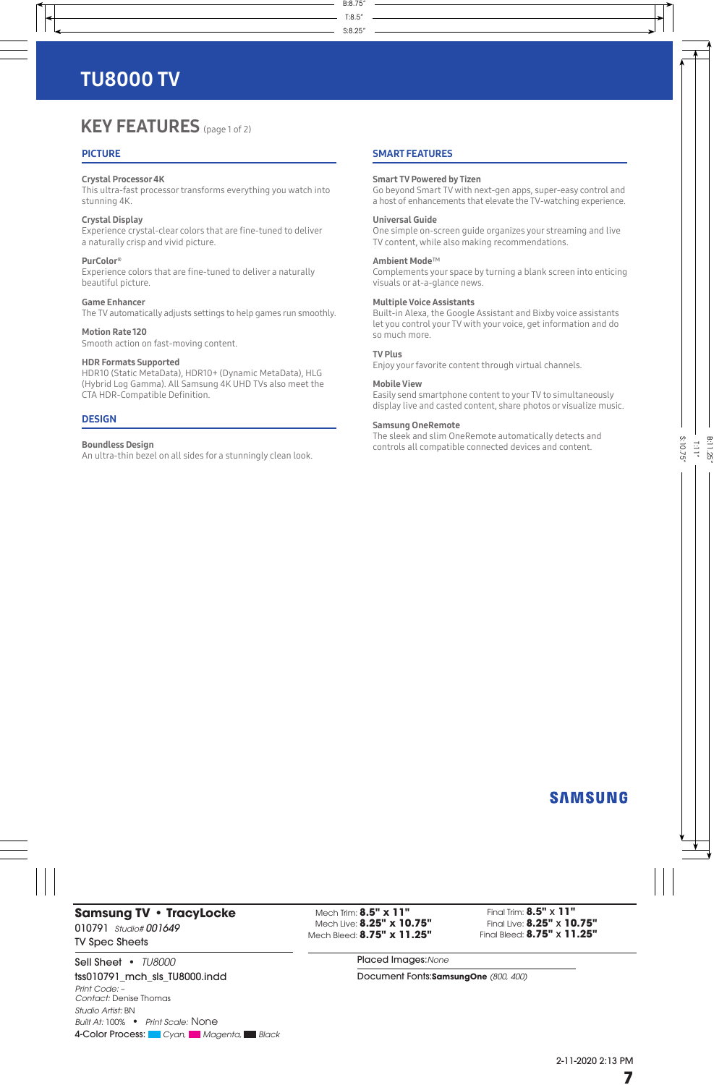## **KEY FEATURES** (page 1 of 2)

#### **PICTURE**

#### Crystal Processor 4K

This ultra-fast processor transforms everything you watch into stunning 4K.

#### Crystal Display

Experience crystal-clear colors that are fine-tuned to deliver a naturally crisp and vivid picture.

#### PurColor®

Experience colors that are fine-tuned to deliver a naturally beautiful picture.

#### Game Enhancer

The TV automatically adjusts settings to help games run smoothly.

Motion Rate 120 Smooth action on fast-moving content.

#### HDR Formats Supported

HDR10 (Static MetaData), HDR10+ (Dynamic MetaData), HLG (Hybrid Log Gamma). All Samsung 4K UHD TVs also meet the CTA HDR-Compatible Definition.

#### **DESIGN**

#### Boundless Design

An ultra-thin bezel on all sides for a stunningly clean look.

#### SMART FEATURES

S:8.25"

T:8.5"

B:8.75"

Smart TV Powered by Tizen Go beyond Smart TV with next-gen apps, super-easy control and

a host of enhancements that elevate the TV-watching experience.

#### Universal Guide

One simple on-screen guide organizes your streaming and live TV content, while also making recommendations.

#### Ambient Mode™

Complements your space by turning a blank screen into enticing visuals or at-a-glance news.

#### Multiple Voice Assistants

Built-in Alexa, the Google Assistant and Bixby voice assistants let you control your TV with your voice, get information and do so much more.

#### TV Plus

Enjoy your favorite content through virtual channels.

#### Mobile View

Easily send smartphone content to your TV to simultaneously display live and casted content, share photos or visualize music.

#### Samsung OneRemote

The sleek and slim OneRemote automatically detects and controls all compatible connected devices and content.

### **SAMSUNG**

S:10.75"

T:11"

B:11.25"

### **Samsung TV • TracyLocke** 010791*Studio# 001649* TV Spec Sheets

Sell Sheet **•** *TU8000* tss010791\_mch\_sls\_TU8000.indd *Print Code:* – *Contact:* Denise Thomas *Studio Artist:* BN *Built At:* 100% **•** *Print Scale:* None 4-Color Process: Cyan, Magenta, Black

Mech Trim: **8.5" x 11"** Mech Live: **8.25" x 10.75"** Mech Bleed: **8.75" x 11.25"**

Final Trim: **8.5"** x **11"** Final Live: **8.25"** x **10.75"** Final Bleed: **8.75"** x **11.25"**

Placed Images:*None*

Document Fonts:**SamsungOne** *(800, 400)*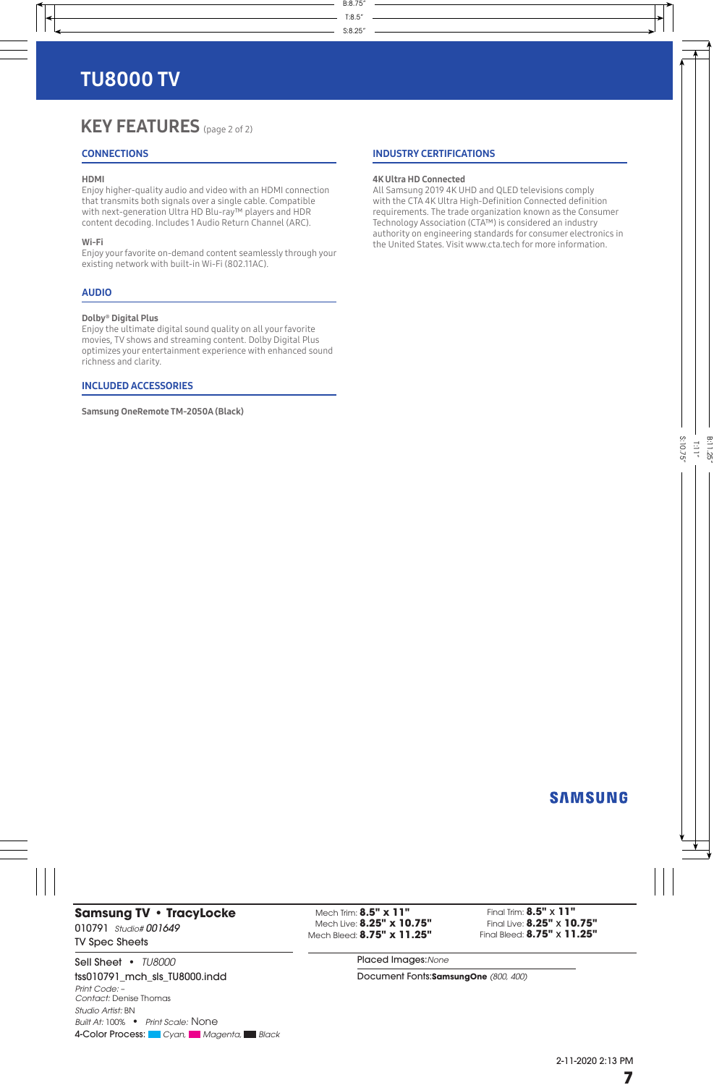## KEY FEATURES (page 2 of 2)

### **CONNECTIONS**

#### HDMI

Enjoy higher-quality audio and video with an HDMI connection that transmits both signals over a single cable. Compatible with next-generation Ultra HD Blu-ray™ players and HDR content decoding. Includes 1 Audio Return Channel (ARC).

#### Wi-Fi

Enjoy your favorite on-demand content seamlessly through your existing network with built-in Wi-Fi (802.11AC).

#### AUDIO

#### Dolby® Digital Plus

Enjoy the ultimate digital sound quality on all your favorite movies, TV shows and streaming content. Dolby Digital Plus optimizes your entertainment experience with enhanced sound richness and clarity.

#### INCLUDED ACCESSORIES

Samsung OneRemote TM-2050A (Black)

#### INDUSTRY CERTIFICATIONS

#### 4K Ultra HD Connected

S:8.25"

T:8.5"

B:8.75"

All Samsung 2019 4K UHD and QLED televisions comply with the CTA 4K Ultra High-Definition Connected definition requirements. The trade organization known as the Consumer Technology Association (CTA™) is considered an industry authority on engineering standards for consumer electronics in the United States. Visit www.cta.tech for more information.

## **SAMSUNG**

S:10.75"

T:11"

B:11.25"

### **Samsung TV • TracyLocke** 010791*Studio# 001649* TV Spec Sheets

Sell Sheet **•** *TU8000* tss010791\_mch\_sls\_TU8000.indd *Print Code:* – *Contact:* Denise Thomas *Studio Artist:* BN *Built At:* 100% **•** *Print Scale:* None 4-Color Process: Cyan, Magenta, Black

Mech Trim: **8.5" x 11"** Mech Live: **8.25" x 10.75"** Mech Bleed: **8.75" x 11.25"**

Final Trim: **8.5"** x **11"** Final Live: **8.25"** x **10.75"** Final Bleed: **8.75"** x **11.25"**

Placed Images:*None*

Document Fonts:**SamsungOne** *(800, 400)*

2-11-2020 2:13 PM **7**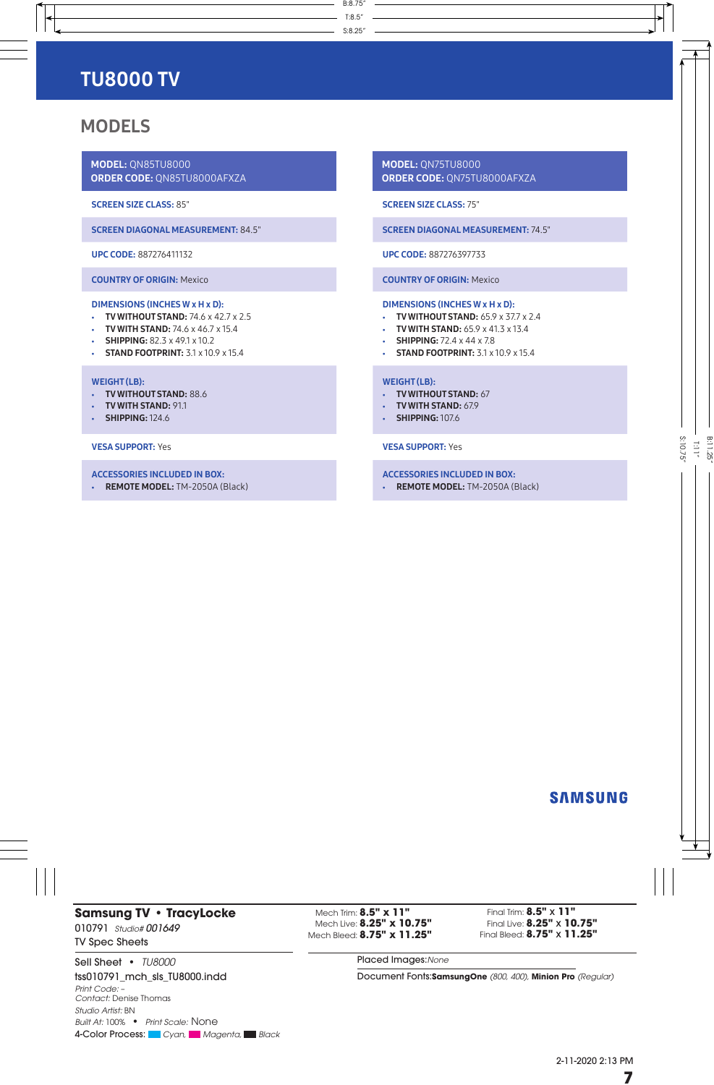## MODELS

MODEL: QN85TU8000 ORDER CODE: QN85TU8000AFXZA

#### SCREEN SIZE CLASS: 85"

SCREEN DIAGONAL MEASUREMENT: 84.5"

UPC CODE: 887276411132

COUNTRY OF ORIGIN: Mexico

#### DIMENSIONS (INCHES W x H x D):

- TV WITHOUT STAND:  $74.6 \times 42.7 \times 2.5$
- TV WITH STAND:  $74.6 \times 46.7 \times 15.4$
- SHIPPING:  $82.3 \times 49.1 \times 10.2$
- **STAND FOOTPRINT:** 3.1 x 10.9 x 15.4

#### WEIGHT (LB):

- TV WITHOUT STAND: 88.6
- TV WITH STAND: 91.1
- **SHIPPING:** 124.6

#### VESA SUPPORT: Yes

- ACCESSORIES INCLUDED IN BOX:
- REMOTE MODEL: TM-2050A (Black)

MODEL: QN75TU8000 ORDER CODE: QN75TU8000AFXZA

SCREEN SIZE CLASS: 75"

S:8.25"

T:8.5"

B:8.75"

#### SCREEN DIAGONAL MEASUREMENT: 74.5"

UPC CODE: 887276397733

#### COUNTRY OF ORIGIN: Mexico

#### DIMENSIONS (INCHES W x H x D):

- TV WITHOUT STAND: 65.9 x 37.7 x 2.4
- TV WITH STAND:  $65.9 \times 41.3 \times 13.4$
- SHIPPING:  $72.4 \times 44 \times 7.8$
- **STAND FOOTPRINT:** 3.1 x 10.9 x 15.4
- 

#### WEIGHT (LB):

- TV WITHOUT STAND: 67
- TV WITH STAND: 67.9
- **SHIPPING:** 107.6

#### VESA SUPPORT: Yes

- ACCESSORIES INCLUDED IN BOX:
- REMOTE MODEL: TM-2050A (Black)

### **SAMSUNG**

### **Samsung TV • TracyLocke** 010791*Studio# 001649* TV Spec Sheets

Sell Sheet **•** *TU8000* tss010791\_mch\_sls\_TU8000.indd *Print Code:* – *Contact:* Denise Thomas *Studio Artist:* BN *Built At:* 100% **•** *Print Scale:* None 4-Color Process: Cyan, Magenta, Black

Mech Trim: **8.5" x 11"** Mech Live: **8.25" x 10.75"** Mech Bleed: **8.75" x 11.25"**

Final Trim: **8.5"** x **11"** Final Live: **8.25"** x **10.75"** Final Bleed: **8.75"** x **11.25"**

Placed Images:*None*

Document Fonts:**SamsungOne** *(800, 400),* **Minion Pro** *(Regular)*

2-11-2020 2:13 PM **7**

S:10.75" T:11" B:11.25"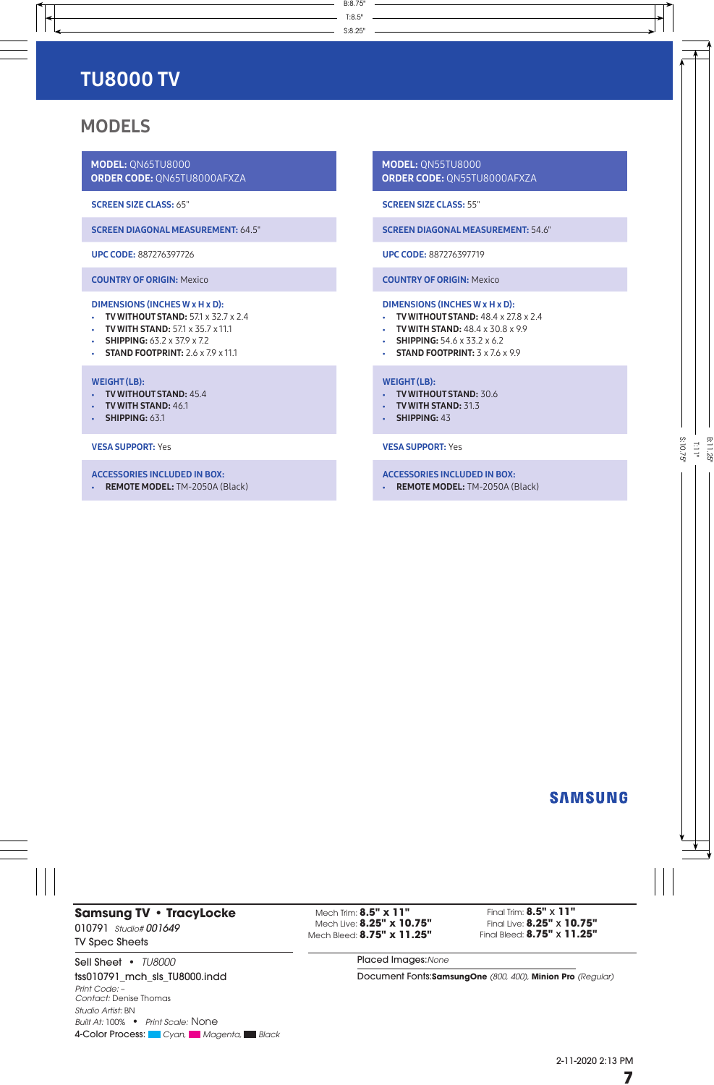## MODELS

MODEL: QN65TU8000 ORDER CODE: QN65TU8000AFXZA

#### SCREEN SIZE CLASS: 65"

SCREEN DIAGONAL MEASUREMENT: 64.5"

#### UPC CODE: 887276397726

COUNTRY OF ORIGIN: Mexico

#### DIMENSIONS (INCHES W x H x D):

- TV WITHOUT STAND:  $57.1 \times 32.7 \times 2.4$
- TV WITH STAND:  $57.1 \times 35.7 \times 11.1$
- SHIPPING:  $63.2 \times 37.9 \times 7.2$
- STAND FOOTPRINT:  $2.6 \times 7.9 \times 11.1$

#### WEIGHT (LB):

- TV WITHOUT STAND: 45.4
- TV WITH STAND: 46.1
- **SHIPPING: 63.1**

#### VESA SUPPORT: Yes

- ACCESSORIES INCLUDED IN BOX:
- REMOTE MODEL: TM-2050A (Black)

MODEL: QN55TU8000 ORDER CODE: QN55TU8000AFXZA

#### SCREEN SIZE CLASS: 55"

S:8.25"

T:8.5"

B:8.75"

#### SCREEN DIAGONAL MEASUREMENT: 54.6"

#### UPC CODE: 887276397719

#### COUNTRY OF ORIGIN: Mexico

#### DIMENSIONS (INCHES W x H x D):

- **TV WITHOUT STAND:** 48.4 x 27.8 x 2.4
- TV WITH STAND: 48.4 x 30.8 x 9.9
- SHIPPING:  $54.6 \times 33.2 \times 6.2$
- STAND FOOTPRINT:  $3 \times 7.6 \times 9.9$

#### WEIGHT (LB):

- **TV WITHOUT STAND: 30.6**
- TV WITH STAND: 31.3
- SHIPPING: 43
- 

#### VESA SUPPORT: Yes

- ACCESSORIES INCLUDED IN BOX:
- REMOTE MODEL: TM-2050A (Black)

### **SAMSUNG**

### **Samsung TV • TracyLocke** 010791*Studio# 001649* TV Spec Sheets

Sell Sheet **•** *TU8000* tss010791\_mch\_sls\_TU8000.indd *Print Code:* – *Contact:* Denise Thomas

*Studio Artist:* BN *Built At:* 100% **•** *Print Scale:* None 4-Color Process: Cyan, Magenta, Black

Mech Trim: **8.5" x 11"** Mech Live: **8.25" x 10.75"** Mech Bleed: **8.75" x 11.25"**

Final Trim: **8.5"** x **11"** Final Live: **8.25"** x **10.75"** Final Bleed: **8.75"** x **11.25"**

Placed Images:*None*

Document Fonts:**SamsungOne** *(800, 400),* **Minion Pro** *(Regular)*

2-11-2020 2:13 PM **7**

S:10.75"  $\frac{11}{4}$ <u>تج</u>